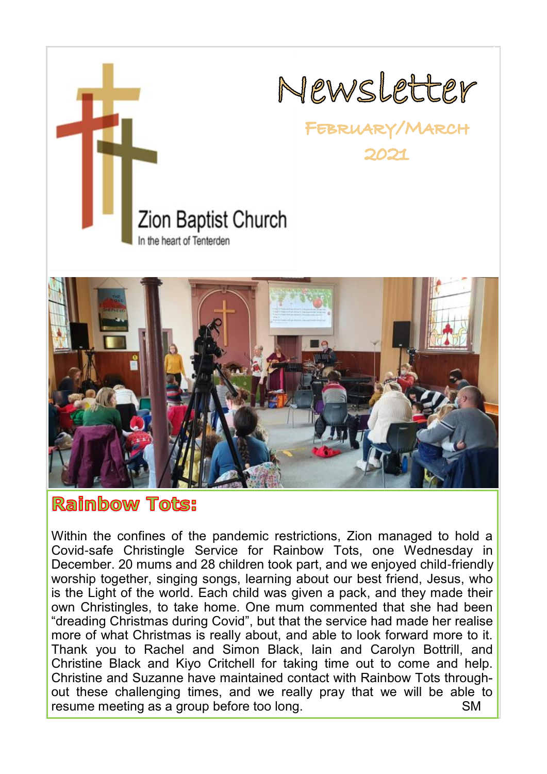



# Raimbow Tots:

Within the confines of the pandemic restrictions, Zion managed to hold a Covid-safe Christingle Service for Rainbow Tots, one Wednesday in December. 20 mums and 28 children took part, and we enjoyed child-friendly worship together, singing songs, learning about our best friend, Jesus, who is the Light of the world. Each child was given a pack, and they made their own Christingles, to take home. One mum commented that she had been "dreading Christmas during Covid", but that the service had made her realise more of what Christmas is really about, and able to look forward more to it. Thank you to Rachel and Simon Black, Iain and Carolyn Bottrill, and Christine Black and Kiyo Critchell for taking time out to come and help. Christine and Suzanne have maintained contact with Rainbow Tots throughout these challenging times, and we really pray that we will be able to resume meeting as a group before too long. The same meeting as a group before too long.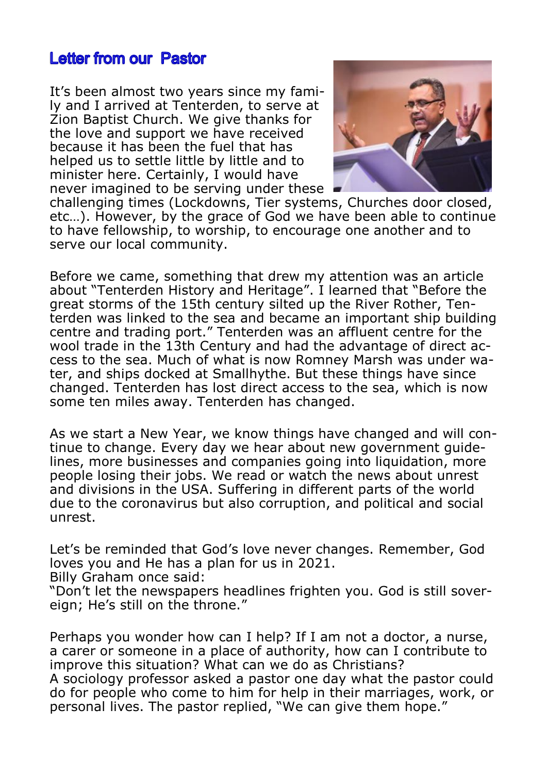## **Letter from our Pastor**

It's been almost two years since my family and I arrived at Tenterden, to serve at Zion Baptist Church. We give thanks for the love and support we have received because it has been the fuel that has helped us to settle little by little and to minister here. Certainly, I would have never imagined to be serving under these



challenging times (Lockdowns, Tier systems, Churches door closed, etc…). However, by the grace of God we have been able to continue to have fellowship, to worship, to encourage one another and to serve our local community.

Before we came, something that drew my attention was an article about "Tenterden History and Heritage". I learned that "Before the great storms of the 15th century silted up the River Rother, Tenterden was linked to the sea and became an important ship building centre and trading port." Tenterden was an affluent centre for the wool trade in the 13th Century and had the advantage of direct access to the sea. Much of what is now Romney Marsh was under water, and ships docked at Smallhythe. But these things have since changed. Tenterden has lost direct access to the sea, which is now some ten miles away. Tenterden has changed.

As we start a New Year, we know things have changed and will continue to change. Every day we hear about new government guidelines, more businesses and companies going into liquidation, more people losing their jobs. We read or watch the news about unrest and divisions in the USA. Suffering in different parts of the world due to the coronavirus but also corruption, and political and social unrest.

Let's be reminded that God's love never changes. Remember, God loves you and He has a plan for us in 2021. Billy Graham once said:

"Don't let the newspapers headlines frighten you. God is still sovereign; He's still on the throne."

Perhaps you wonder how can I help? If I am not a doctor, a nurse, a carer or someone in a place of authority, how can I contribute to improve this situation? What can we do as Christians? A sociology professor asked a pastor one day what the pastor could do for people who come to him for help in their marriages, work, or personal lives. The pastor replied, "We can give them hope."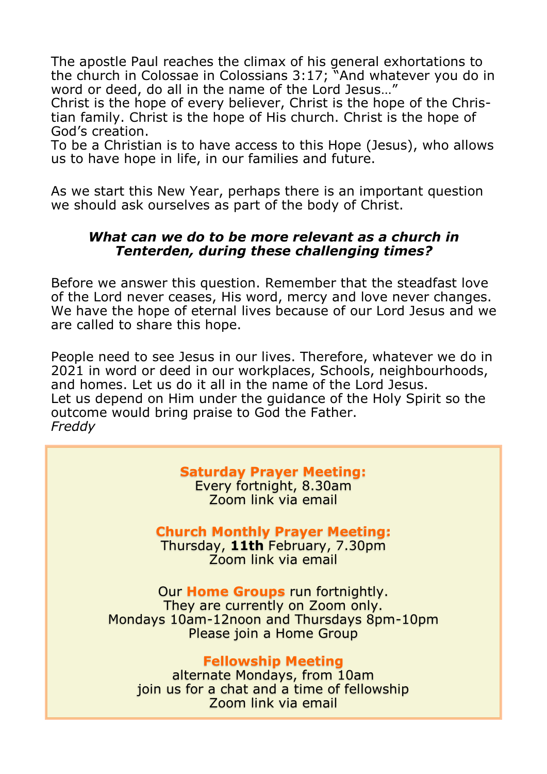The apostle Paul reaches the climax of his general exhortations to the church in Colossae in Colossians 3:17; "And whatever you do in word or deed, do all in the name of the Lord Jesus…"

Christ is the hope of every believer, Christ is the hope of the Christian family. Christ is the hope of His church. Christ is the hope of God's creation.

To be a Christian is to have access to this Hope (Jesus), who allows us to have hope in life, in our families and future.

As we start this New Year, perhaps there is an important question we should ask ourselves as part of the body of Christ.

### *What can we do to be more relevant as a church in Tenterden, during these challenging times?*

Before we answer this question. Remember that the steadfast love of the Lord never ceases, His word, mercy and love never changes. We have the hope of eternal lives because of our Lord Jesus and we are called to share this hope.

People need to see Jesus in our lives. Therefore, whatever we do in 2021 in word or deed in our workplaces, Schools, neighbourhoods, and homes. Let us do it all in the name of the Lord Jesus. Let us depend on Him under the guidance of the Holy Spirit so the outcome would bring praise to God the Father. *Freddy*

# **Saturday Prayer Meeting:**

Every fortnight, 8.30am Zoom link via email

## **Church Monthly Prayer Meeting:**

Thursday, **11th** February, 7.30pm Zoom link via email

Our **Home Groups** run fortnightly. They are currently on Zoom only. Mondays 10am-12noon and Thursdays 8pm-10pm Please join a Home Group

**Fellowship Meeting** alternate Mondays, from 10am join us for a chat and a time of fellowship Zoom link via email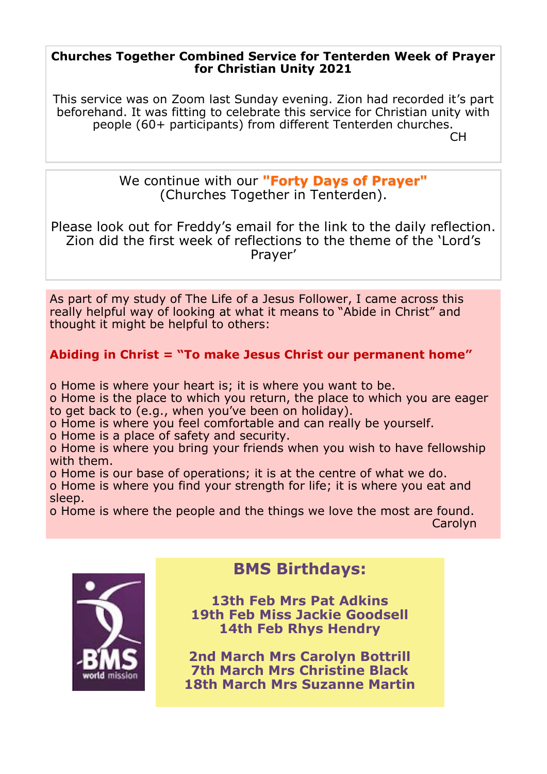### **Churches Together Combined Service for Tenterden Week of Prayer for Christian Unity 2021**

This service was on Zoom last Sunday evening. Zion had recorded it's part beforehand. It was fitting to celebrate this service for Christian unity with people (60+ participants) from different Tenterden churches.

in the contract of the contract of the contract of the contract of the contract of the contract of the contract

We continue with our **"Forty Days of Prayer"**  (Churches Together in Tenterden).

Please look out for Freddy's email for the link to the daily reflection. Zion did the first week of reflections to the theme of the 'Lord's Prayer'

As part of my study of The Life of a Jesus Follower, I came across this really helpful way of looking at what it means to "Abide in Christ" and thought it might be helpful to others:

## **Abiding in Christ = "To make Jesus Christ our permanent home"**

o Home is where your heart is; it is where you want to be.

o Home is the place to which you return, the place to which you are eager to get back to (e.g., when you've been on holiday).

o Home is where you feel comfortable and can really be yourself.

o Home is a place of safety and security.

o Home is where you bring your friends when you wish to have fellowship with them.

o Home is our base of operations; it is at the centre of what we do.

o Home is where you find your strength for life; it is where you eat and sleep.

o Home is where the people and the things we love the most are found. carolyn - Carolyn - Carolyn - Carolyn - Carolyn - Carolyn - Carolyn - Carolyn



# **BMS Birthdays:**

**13th Feb Mrs Pat Adkins 19th Feb Miss Jackie Goodsell 14th Feb Rhys Hendry**

**2nd March Mrs Carolyn Bottrill 7th March Mrs Christine Black 18th March Mrs Suzanne Martin**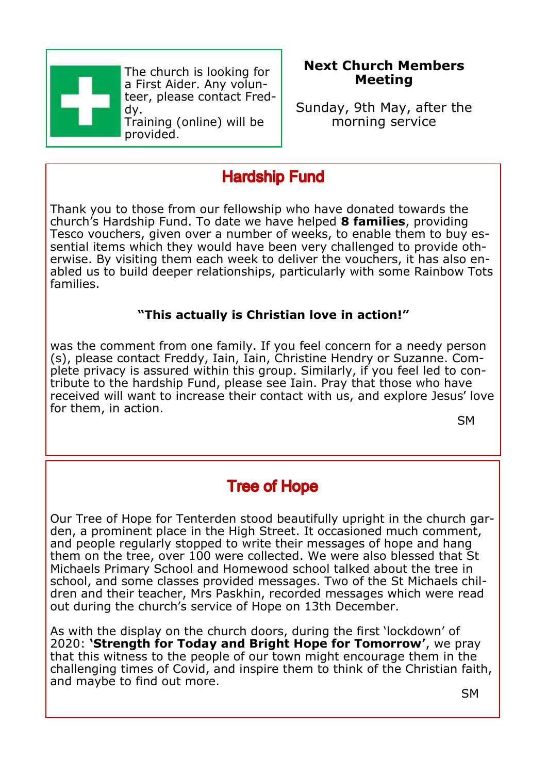

The church is looking for a First Aider. Any volunteer, please contact Freddy.

Training (online) will be provided.

## **Next Church Members Meeting**

Sunday, 9th May, after the morning service

# **Hardship Fund**

Thank you to those from our fellowship who have donated towards the church's Hardship Fund. To date we have helped **8 families**, providing Tesco vouchers, given over a number of weeks, to enable them to buy essential items which they would have been very challenged to provide otherwise. By visiting them each week to deliver the vouchers, it has also enabled us to build deeper relationships, particularly with some Rainbow Tots families.

## **"This actually is Christian love in action!"**

was the comment from one family. If you feel concern for a needy person (s), please contact Freddy, Iain, Iain, Christine Hendry or Suzanne. Complete privacy is assured within this group. Similarly, if you feel led to contribute to the hardship Fund, please see Iain. Pray that those who have received will want to increase their contact with us, and explore Jesus' love for them, in action.

SM

# **Tree of Hope**

Our Tree of Hope for Tenterden stood beautifully upright in the church garden, a prominent place in the High Street. It occasioned much comment, and people regularly stopped to write their messages of hope and hang them on the tree, over 100 were collected. We were also blessed that St Michaels Primary School and Homewood school talked about the tree in school, and some classes provided messages. Two of the St Michaels children and their teacher, Mrs Paskhin, recorded messages which were read out during the church's service of Hope on 13th December.

As with the display on the church doors, during the first 'lockdown' of 2020: **'Strength for Today and Bright Hope for Tomorrow'**, we pray that this witness to the people of our town might encourage them in the challenging times of Covid, and inspire them to think of the Christian faith, and maybe to find out more.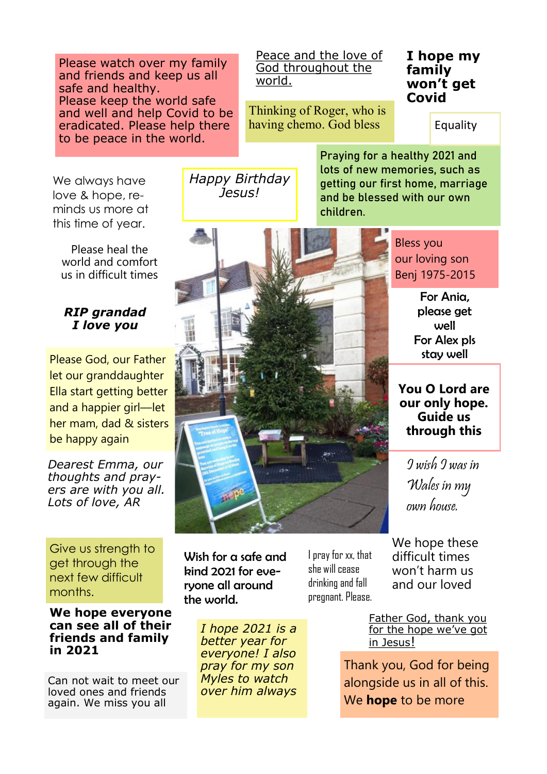Please watch over my family and friends and keep us all safe and healthy. Please keep the world safe and well and help Covid to be eradicated. Please help there to be peace in the world.

Peace and the love of God throughout the world.

Thinking of Roger, who is having chemo. God bless

### **I hope my family won't get Covid**

Equality

We always have love & hope, reminds us more at this time of year.

Please heal the world and comfort us in difficult times

#### *RIP grandad I love you*

Please God, our Father let our granddaughter Ella start getting better and a happier girl—let her mam, dad & sisters be happy again

*Dearest Emma, our thoughts and prayers are with you all. Lots of love, AR*

Give us strength to get through the next few difficult months.

#### **We hope everyone can see all of their friends and family in 2021**

Can not wait to meet our loved ones and friends again. We miss you all

Wish for a safe and kind 2021 for everyone all around the world.

> *I hope 2021 is a better year for everyone! I also pray for my son Myles to watch over him always*

I pray for xx, that she will cease drinking and fall pregnant. Please. We hope these difficult times won't harm us and our loved

Father God, thank you for the hope we've got in Jesus!

Thank you, God for being alongside us in all of this. We **hope** to be more

*Happy Birthday Jesus!*

Praying for a healthy 2021 and lots of new memories, such as getting our first home, marriage and be blessed with our own children.

> Bless you our loving son Benj 1975-2015

> > For Ania, please get well For Alex pls stay well

**You O Lord are our only hope. Guide us through this** 

I wish I was in Wales in my own house.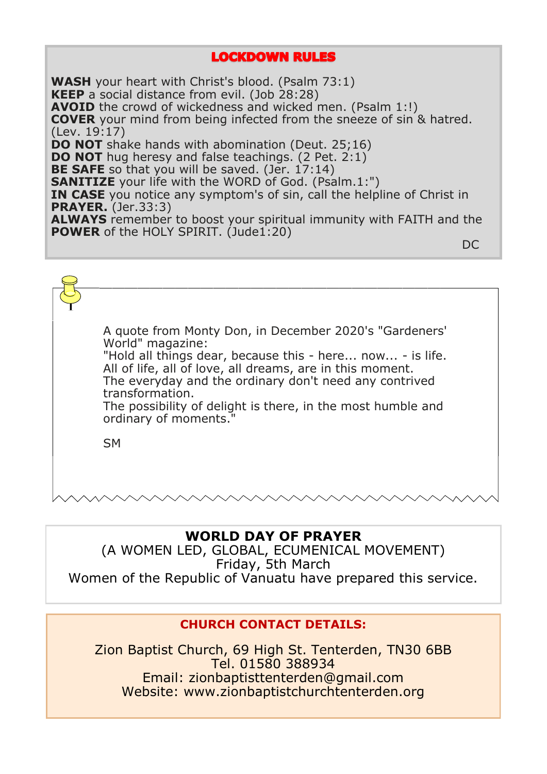### **LOCKDOWN RULES**

**WASH** your heart with Christ's blood. (Psalm 73:1) **KEEP** a social distance from evil. (Job 28:28) **AVOID** the crowd of wickedness and wicked men. (Psalm 1:!) **COVER** your mind from being infected from the sneeze of sin & hatred. (Lev. 19:17) **DO NOT** shake hands with abomination (Deut. 25;16) **DO NOT** hug heresy and false teachings. (2 Pet. 2:1) **BE SAFE** so that you will be saved. (Jer. 17:14) **SANITIZE** your life with the WORD of God. (Psalm.1:") **IN CASE** you notice any symptom's of sin, call the helpline of Christ in **PRAYER.** (Jer.33:3) **ALWAYS** remember to boost your spiritual immunity with FAITH and the **POWER** of the HOLY SPIRIT. (Jude1:20) **DC** Definition of the contract of the contract of the contract of the contract of the DC

A quote from Monty Don, in December 2020's "Gardeners' World" magazine: "Hold all things dear, because this - here... now... - is life. All of life, all of love, all dreams, are in this moment. The everyday and the ordinary don't need any contrived transformation. The possibility of delight is there, in the most humble and ordinary of moments." **SM** 

### **WORLD DAY OF PRAYER**

(A WOMEN LED, GLOBAL, ECUMENICAL MOVEMENT) Friday, 5th March Women of the Republic of Vanuatu have prepared this service.

### **CHURCH CONTACT DETAILS:**

Zion Baptist Church, 69 High St. Tenterden, TN30 6BB Tel. 01580 388934 Email: zionbaptisttenterden@gmail.com Website: www.zionbaptistchurchtenterden.org